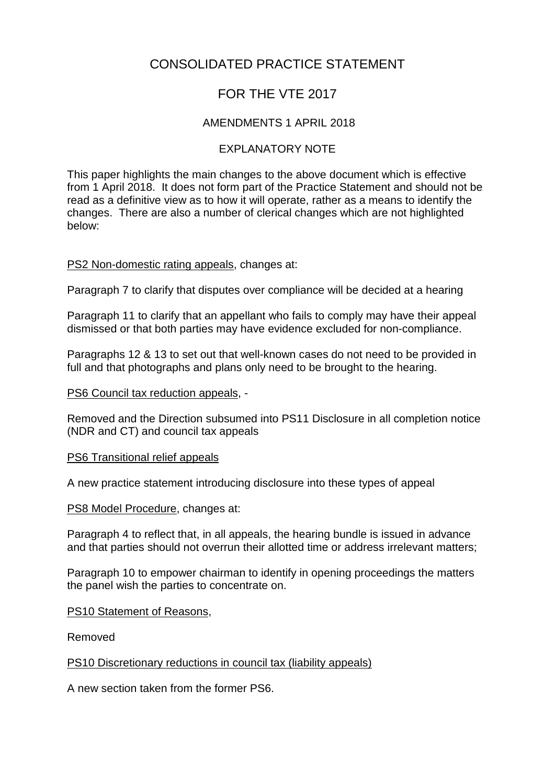# CONSOLIDATED PRACTICE STATEMENT

# FOR THE VTE 2017

## AMENDMENTS 1 APRIL 2018

## EXPLANATORY NOTE

This paper highlights the main changes to the above document which is effective from 1 April 2018. It does not form part of the Practice Statement and should not be read as a definitive view as to how it will operate, rather as a means to identify the changes. There are also a number of clerical changes which are not highlighted below:

#### PS2 Non-domestic rating appeals, changes at:

Paragraph 7 to clarify that disputes over compliance will be decided at a hearing

Paragraph 11 to clarify that an appellant who fails to comply may have their appeal dismissed or that both parties may have evidence excluded for non-compliance.

Paragraphs 12 & 13 to set out that well-known cases do not need to be provided in full and that photographs and plans only need to be brought to the hearing.

#### PS6 Council tax reduction appeals, -

Removed and the Direction subsumed into PS11 Disclosure in all completion notice (NDR and CT) and council tax appeals

#### PS6 Transitional relief appeals

A new practice statement introducing disclosure into these types of appeal

PS8 Model Procedure, changes at:

Paragraph 4 to reflect that, in all appeals, the hearing bundle is issued in advance and that parties should not overrun their allotted time or address irrelevant matters;

Paragraph 10 to empower chairman to identify in opening proceedings the matters the panel wish the parties to concentrate on.

#### PS10 Statement of Reasons,

Removed

#### PS10 Discretionary reductions in council tax (liability appeals)

A new section taken from the former PS6.